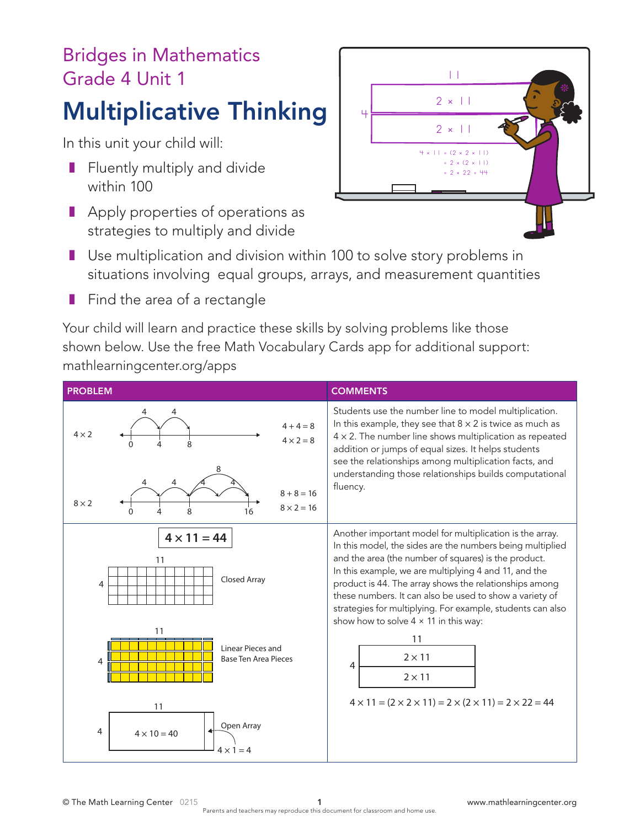## Bridges in Mathematics Grade 4 Unit 1

## Multiplicative Thinking

In this unit your child will:

- Fluently multiply and divide within 100
- Apply properties of operations as strategies to multiply and divide



- Use multiplication and division within 100 to solve story problems in situations involving equal groups, arrays, and measurement quantities
- Find the area of a rectangle

Your child will learn and practice these skills by solving problems like those shown below. Use the free Math Vocabulary Cards app for additional support: mathlearningcenter.org/apps